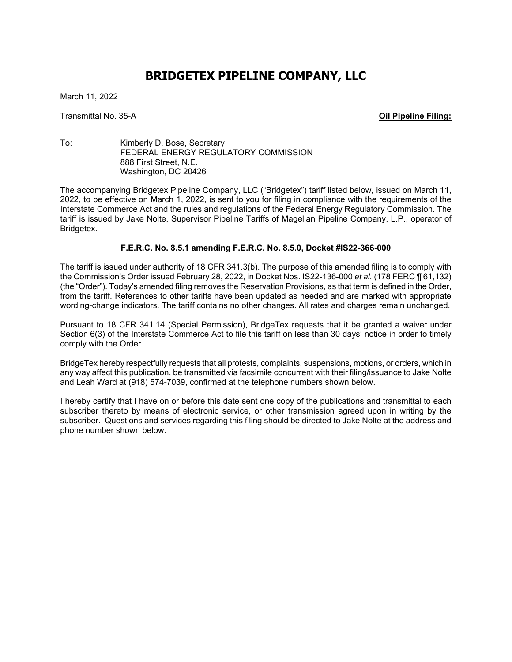## **BRIDGETEX PIPELINE COMPANY, LLC**

March 11, 2022

Transmittal No. 35-A **Oil Pipeline Filing:**

To: Kimberly D. Bose, Secretary FEDERAL ENERGY REGULATORY COMMISSION 888 First Street, N.E. Washington, DC 20426

The accompanying Bridgetex Pipeline Company, LLC ("Bridgetex") tariff listed below, issued on March 11, 2022, to be effective on March 1, 2022, is sent to you for filing in compliance with the requirements of the Interstate Commerce Act and the rules and regulations of the Federal Energy Regulatory Commission. The tariff is issued by Jake Nolte, Supervisor Pipeline Tariffs of Magellan Pipeline Company, L.P., operator of Bridgetex.

## **F.E.R.C. No. 8.5.1 amending F.E.R.C. No. 8.5.0, Docket #IS22-366-000**

The tariff is issued under authority of 18 CFR 341.3(b). The purpose of this amended filing is to comply with the Commission's Order issued February 28, 2022, in Docket Nos. IS22-136-000 *et al.* (178 FERC ¶ 61,132) (the "Order"). Today's amended filing removes the Reservation Provisions, as that term is defined in the Order, from the tariff. References to other tariffs have been updated as needed and are marked with appropriate wording-change indicators. The tariff contains no other changes. All rates and charges remain unchanged.

Pursuant to 18 CFR 341.14 (Special Permission), BridgeTex requests that it be granted a waiver under Section 6(3) of the Interstate Commerce Act to file this tariff on less than 30 days' notice in order to timely comply with the Order.

BridgeTex hereby respectfully requests that all protests, complaints, suspensions, motions, or orders, which in any way affect this publication, be transmitted via facsimile concurrent with their filing/issuance to Jake Nolte and Leah Ward at (918) 574-7039, confirmed at the telephone numbers shown below.

I hereby certify that I have on or before this date sent one copy of the publications and transmittal to each subscriber thereto by means of electronic service, or other transmission agreed upon in writing by the subscriber. Questions and services regarding this filing should be directed to Jake Nolte at the address and phone number shown below.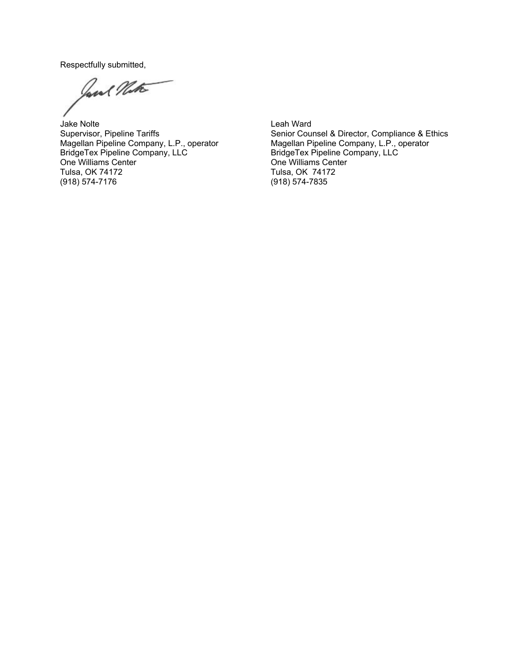Respectfully submitted,

Jane Note

Uake Nolte<br>
Supervisor, Pipeline Tariffs<br>
Senior Coul Magellan Pipeline Company, L.P., operator Magellan Pipeline Contract BridgeTex Pipeline Contract Company, LLC<br>
One Williams Center Company, LLC<br>
One Williams Center Company, COME One Williams Center<br>Tulsa, OK 74172 Tulsa, OK 74172 Tulsa, OK 74172

Senior Counsel & Director, Compliance & Ethics Magellan Pipeline Company, L.P., operator Magellan Pipeline Company, L.P., operator (918) 574-7835